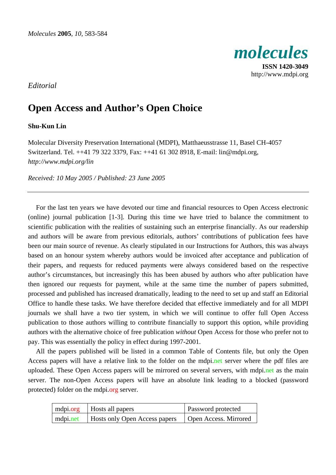

*Editorial* 

## **Open Access and Author's Open Choice**

## **Shu-Kun Lin**

Molecular Diversity Preservation International (MDPI), Matthaeusstrasse 11, Basel CH-4057 Switzerland. Tel. ++41 79 322 3379, Fax: ++41 61 302 8918, E-mail: lin@mdpi.org, *http://www.mdpi.org/lin*

*Received: 10 May 2005 / Published: 23 June 2005* 

For the last ten years we have devoted our time and financial resources to Open Access electronic (online) journal publication [1-3]. During this time we have tried to balance the commitment to scientific publication with the realities of sustaining such an enterprise financially. As our readership and authors will be aware from previous editorials, authors' contributions of publication fees have been our main source of revenue. As clearly stipulated in our Instructions for Authors, this was always based on an honour system whereby authors would be invoiced after acceptance and publication of their papers, and requests for reduced payments were always considered based on the respective author's circumstances, but increasingly this has been abused by authors who after publication have then ignored our requests for payment, while at the same time the number of papers submitted, processed and published has increased dramatically, leading to the need to set up and staff an Editorial Office to handle these tasks. We have therefore decided that effective immediately and for all MDPI journals we shall have a two tier system, in which we will continue to offer full Open Access publication to those authors willing to contribute financially to support this option, while providing authors with the alternative choice of free publication *without* Open Access for those who prefer not to pay. This was essentially the policy in effect during 1997-2001.

All the papers published will be listed in a common Table of Contents file, but only the Open Access papers will have a relative link to the folder on the mdpi.net server where the pdf files are uploaded. These Open Access papers will be mirrored on several servers, with mdpi.net as the main server. The non-Open Access papers will have an absolute link leading to a blocked (password protected) folder on the mdpi.org server.

| mdpi.org | Hosts all papers                         | <b>Password protected</b> |
|----------|------------------------------------------|---------------------------|
|          | mdpi.net   Hosts only Open Access papers | Open Access. Mirrored     |